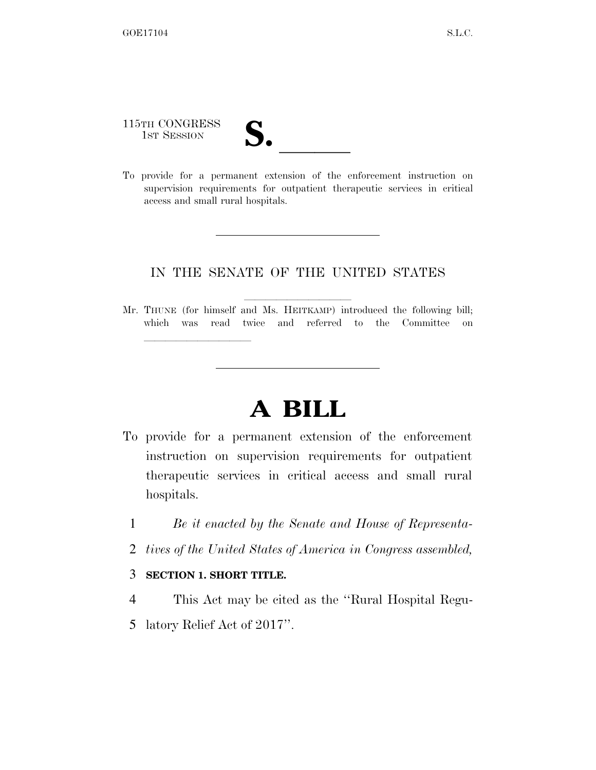115TH CONGRESS

115TH CONGRESS<br>
1ST SESSION<br>
To provide for a permanent extension of the enforcement instruction on supervision requirements for outpatient therapeutic services in critical access and small rural hospitals.

## IN THE SENATE OF THE UNITED STATES

Mr. THUNE (for himself and Ms. HEITKAMP) introduced the following bill; which was read twice and referred to the Committee on

## **A BILL**

- To provide for a permanent extension of the enforcement instruction on supervision requirements for outpatient therapeutic services in critical access and small rural hospitals.
	- 1 *Be it enacted by the Senate and House of Representa-*
	- 2 *tives of the United States of America in Congress assembled,*

## 3 **SECTION 1. SHORT TITLE.**

lle and a second control of the second control of the second control of the second control of the second control of the second control of the second control of the second control of the second control of the second control

- 4 This Act may be cited as the ''Rural Hospital Regu-
- 5 latory Relief Act of 2017''.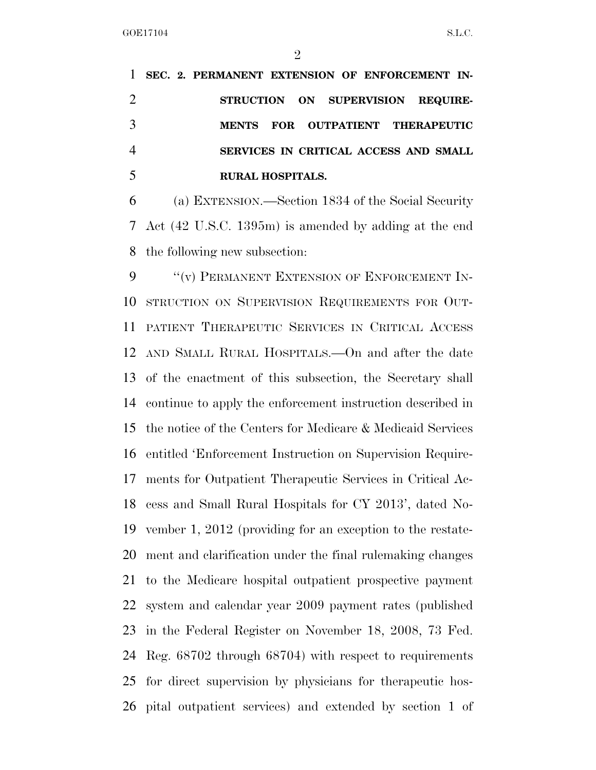|  | 1 SEC. 2. PERMANENT EXTENSION OF ENFORCEMENT IN- |
|--|--------------------------------------------------|
|  | STRUCTION ON SUPERVISION REQUIRE-                |
|  | MENTS FOR OUTPATIENT THERAPEUTIC                 |
|  | SERVICES IN CRITICAL ACCESS AND SMALL            |
|  | <b>RURAL HOSPITALS.</b>                          |

 (a) EXTENSION.—Section 1834 of the Social Security Act (42 U.S.C. 1395m) is amended by adding at the end the following new subsection:

9 "(v) PERMANENT EXTENSION OF ENFORCEMENT IN- STRUCTION ON SUPERVISION REQUIREMENTS FOR OUT- PATIENT THERAPEUTIC SERVICES IN CRITICAL ACCESS AND SMALL RURAL HOSPITALS.—On and after the date of the enactment of this subsection, the Secretary shall continue to apply the enforcement instruction described in the notice of the Centers for Medicare & Medicaid Services entitled 'Enforcement Instruction on Supervision Require- ments for Outpatient Therapeutic Services in Critical Ac- cess and Small Rural Hospitals for CY 2013', dated No- vember 1, 2012 (providing for an exception to the restate- ment and clarification under the final rulemaking changes to the Medicare hospital outpatient prospective payment system and calendar year 2009 payment rates (published in the Federal Register on November 18, 2008, 73 Fed. Reg. 68702 through 68704) with respect to requirements for direct supervision by physicians for therapeutic hos-pital outpatient services) and extended by section 1 of